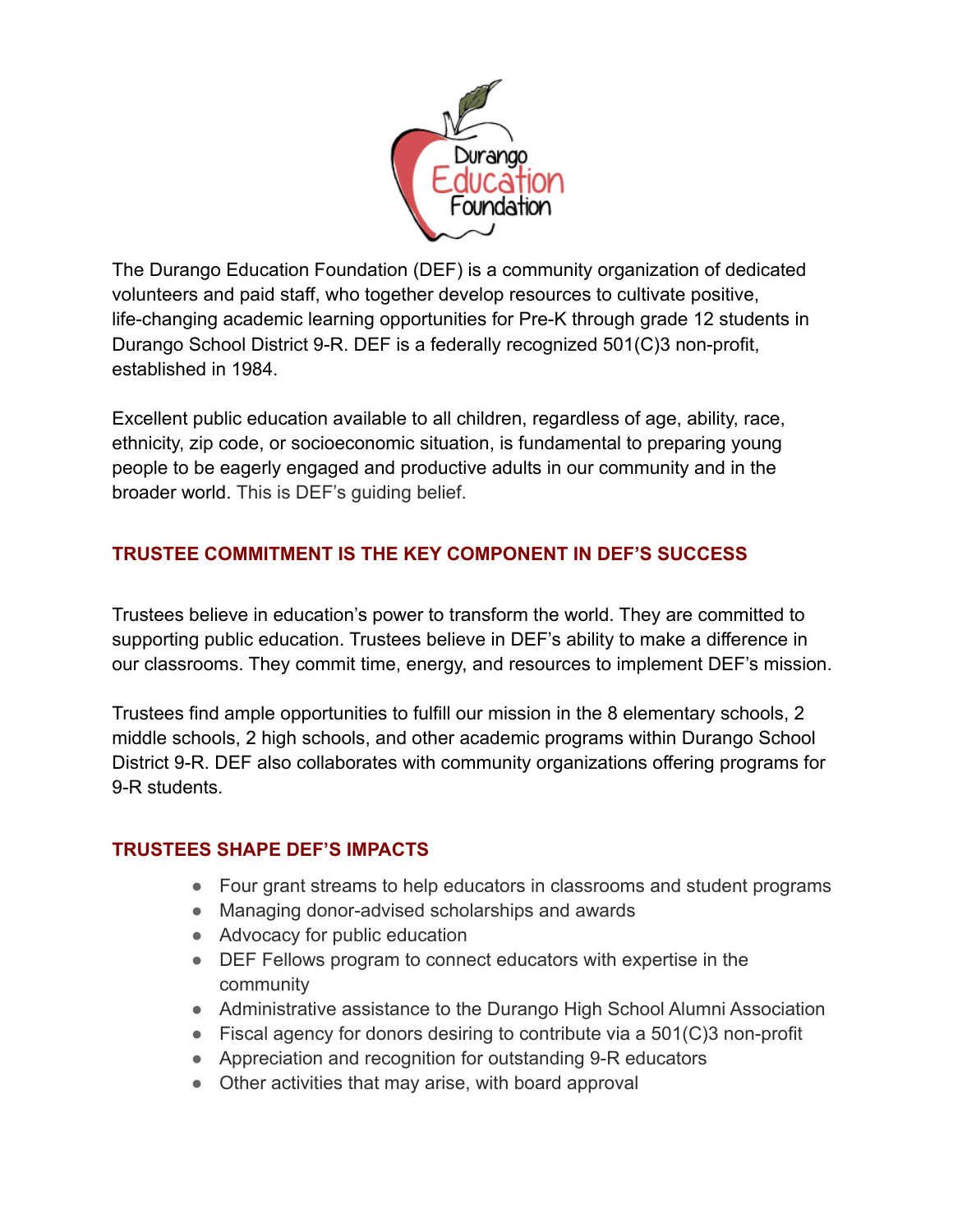

The Durango Education Foundation (DEF) is a community organization of dedicated volunteers and paid staff, who together develop resources to cultivate positive, life-changing academic learning opportunities for Pre-K through grade 12 students in Durango School District 9-R. DEF is a federally recognized 501(C)3 non-profit, established in 1984.

Excellent public education available to all children, regardless of age, ability, race, ethnicity, zip code, or socioeconomic situation, is fundamental to preparing young people to be eagerly engaged and productive adults in our community and in the broader world. This is DEF's guiding belief.

# **TRUSTEE COMMITMENT IS THE KEY COMPONENT IN DEF'S SUCCESS**

Trustees believe in education's power to transform the world. They are committed to supporting public education. Trustees believe in DEF's ability to make a difference in our classrooms. They commit time, energy, and resources to implement DEF's mission.

Trustees find ample opportunities to fulfill our mission in the 8 elementary schools, 2 middle schools, 2 high schools, and other academic programs within Durango School District 9-R. DEF also collaborates with community organizations offering programs for 9-R students.

### **TRUSTEES SHAPE DEF'S IMPACTS**

- Four grant streams to help educators in classrooms and student programs
- Managing donor-advised scholarships and awards
- Advocacy for public education
- DEF Fellows program to connect educators with expertise in the community
- Administrative assistance to the Durango High School Alumni Association
- $\bullet$  Fiscal agency for donors desiring to contribute via a 501(C)3 non-profit
- Appreciation and recognition for outstanding 9-R educators
- Other activities that may arise, with board approval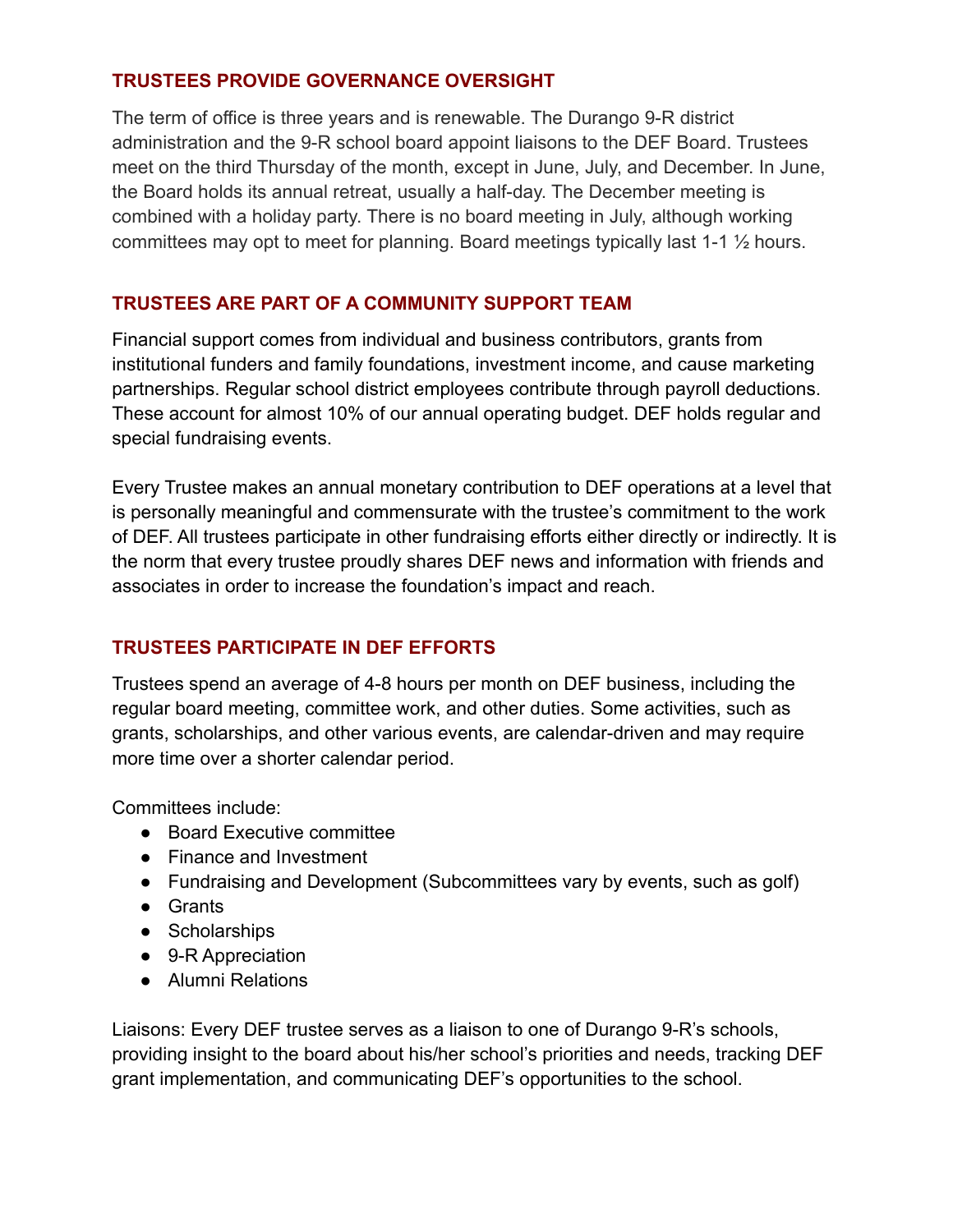### **TRUSTEES PROVIDE GOVERNANCE OVERSIGHT**

The term of office is three years and is renewable. The Durango 9-R district administration and the 9-R school board appoint liaisons to the DEF Board. Trustees meet on the third Thursday of the month, except in June, July, and December. In June, the Board holds its annual retreat, usually a half-day. The December meeting is combined with a holiday party. There is no board meeting in July, although working committees may opt to meet for planning. Board meetings typically last 1-1 ½ hours.

### **TRUSTEES ARE PART OF A COMMUNITY SUPPORT TEAM**

Financial support comes from individual and business contributors, grants from institutional funders and family foundations, investment income, and cause marketing partnerships. Regular school district employees contribute through payroll deductions. These account for almost 10% of our annual operating budget. DEF holds regular and special fundraising events.

Every Trustee makes an annual monetary contribution to DEF operations at a level that is personally meaningful and commensurate with the trustee's commitment to the work of DEF. All trustees participate in other fundraising efforts either directly or indirectly. It is the norm that every trustee proudly shares DEF news and information with friends and associates in order to increase the foundation's impact and reach.

## **TRUSTEES PARTICIPATE IN DEF EFFORTS**

Trustees spend an average of 4-8 hours per month on DEF business, including the regular board meeting, committee work, and other duties. Some activities, such as grants, scholarships, and other various events, are calendar-driven and may require more time over a shorter calendar period.

Committees include:

- Board Executive committee
- Finance and Investment
- Fundraising and Development (Subcommittees vary by events, such as golf)
- Grants
- Scholarships
- 9-R Appreciation
- Alumni Relations

Liaisons: Every DEF trustee serves as a liaison to one of Durango 9-R's schools, providing insight to the board about his/her school's priorities and needs, tracking DEF grant implementation, and communicating DEF's opportunities to the school.